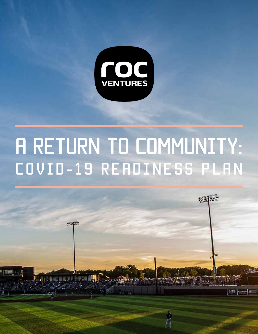

# **A RETURN TO COMMUNITY:** COVid-19 Readiness Plan

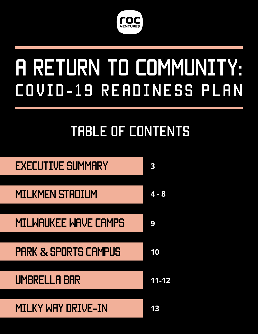

# A Return to Community: COVid-19 Readiness Plan

# TABLE OF CONTENTS

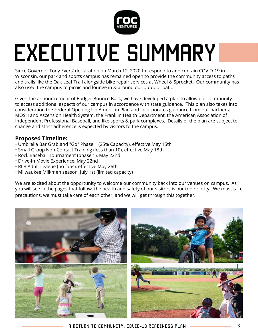

# EXECUTIVE SUMMARY

Since Governor Tony Evers' declaration on March 12, 2020 to respond to and contain COVID-19 in Wisconsin, our park and sports campus has remained open to provide the community access to paths and trails like the Oak Leaf Trail alongside bike repair services at Wheel & Sprocket. Our community has also used the campus to picnic and lounge in & around our outdoor patio.

Given the announcement of Badger Bounce Back, we have developed a plan to allow our community to access additional aspects of our campus in accordance with state guidance. This plan also takes into consideration the Federal Opening Up American Plan and incorporates guidance from our partners: MOSH and Ascension Health System, the Franklin Health Department, the American Association of Independent Professional Baseball, and like sports & park complexes. Details of the plan are subject to change and strict adherence is expected by visitors to the campus.

#### **Proposed Timeline:**

- Umbrella Bar Grab and "Go" Phase 1 (25% Capacity), effective May 15th
- Small Group Non-Contact Training (less than 10), effective May 18th
- Rock Baseball Tournament (phase 1), May 22nd
- Drive-In Movie Experience, May 22nd
- RLB Adult League (no fans), effective May 26th
- Milwaukee Milkmen season, July 1st (limited capacity)

We are excited about the opportunity to welcome our community back into our venues on campus. As you will see in the pages that follow, the health and safety of our visitors is our top priority. We must take precautions, we must take care of each other, and we will get through this together.

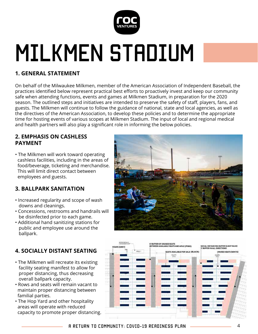

# **1. GENERAL STATEMENT**

On behalf of the Milwaukee Milkmen, member of the American Association of Independent Baseball, the practices identified below represent practical best efforts to proactively invest and keep our community safe when attending functions, events and games at Milkmen Stadium, in preparation for the 2020 season. The outlined steps and initiatives are intended to preserve the safety of staff, players, fans, and guests. The Milkmen will continue to follow the guidance of national, state and local agencies, as well as the directives of the American Association, to develop these policies and to determine the appropriate time for hosting events of various scopes at Milkmen Stadium. The input of local and regional medical and health partners will also play a significant role in informing the below policies.

#### **2. EMPHASIS ON CASHLESS PAYMENT**

• The Milkmen will work toward operating cashless facilities, including in the areas of food/beverage, ticketing and merchandise. This will limit direct contact between employees and guests.

# **3. BALLPARK SANITATION**

- Increased regularity and scope of wash downs and cleanings.
- Concessions, restrooms and handrails will be disinfected prior to each game.
- Additional hand sanitizing stations for public and employee use around the ballpark.

# **4. SOCIALLY DISTANT SEATING**

- The Milkmen will recreate its existing facility seating manifest to allow for proper distancing, thus decreasing overall ballpark capacity.
- Rows and seats will remain vacant to maintain proper distancing between familial parties.
- The Hop Yard and other hospitality areas will operate with reduced capacity to promote proper distancing.



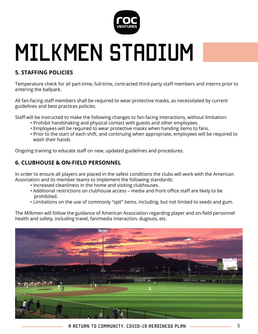

### **5. STAFFING POLICIES**

Temperature check for all part-time, full-time, contracted third-party staff members and interns prior to entering the ballpark.

All fan-facing staff members shall be required to wear protective masks, as necessitated by current guidelines and best practices policies.

Staff will be instructed to make the following changes to fan-facing interactions, without limitation:

- Prohibit handshaking and physical contact with guests and other employees.
- Employees will be required to wear protective masks when handing items to fans.
- Prior to the start of each shift, and continuing when appropriate, employees will be required to wash their hands

Ongoing training to educate staff on new, updated guidelines and procedures.

### **6. CLUBHOUSE & ON-FIELD PERSONNEL**

In order to ensure all players are placed in the safest conditions the clubs will work with the American Association and its member teams to implement the following standards:

- Increased cleanliness in the home and visiting clubhouses.
- Additional restrictions on clubhouse access media and front office staff are likely to be prohibited.
- Limitations on the use of commonly "spit" items, including, but not limited to seeds and gum.

The Milkmen will follow the guidance of American Association regarding player and on-field personnel health and safety, including travel, fan/media interaction, dugouts, etc.

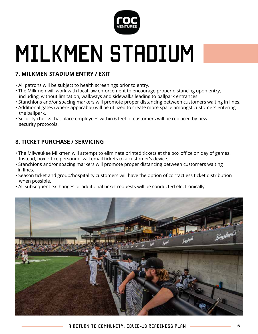

# **7. MILKMEN STADIUM ENTRY / EXIT**

- All patrons will be subject to health screenings prior to entry.
- The Milkmen will work with local law enforcement to encourage proper distancing upon entry, including, without limitation, walkways and sidewalks leading to ballpark entrances.
- Stanchions and/or spacing markers will promote proper distancing between customers waiting in lines.
- Additional gates (where applicable) will be utilized to create more space amongst customers entering the ballpark.
- Security checks that place employees within 6 feet of customers will be replaced by new security protocols.

# **8. TICKET PURCHASE / SERVICING**

- The Milwaukee Milkmen will attempt to eliminate printed tickets at the box office on day of games. Instead, box office personnel will email tickets to a customer's device.
- Stanchions and/or spacing markers will promote proper distancing between customers waiting in lines.
- Season ticket and group/hospitality customers will have the option of contactless ticket distribution when possible.
- All subsequent exchanges or additional ticket requests will be conducted electronically.

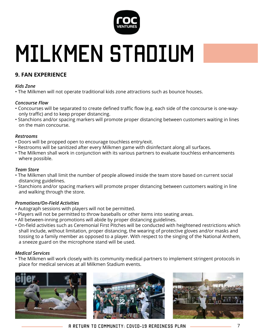

# MILKMEN STADIUM

### **9. FAN EXPERIENCE**

#### *Kids Zone*

• The Milkmen will not operate traditional kids zone attractions such as bounce houses.

#### *Concourse Flow*

- Concourses will be separated to create defined traffic flow (e.g. each side of the concourse is one-way only traffic) and to keep proper distancing.
- Stanchions and/or spacing markers will promote proper distancing between customers waiting in lines on the main concourse.

#### *Restrooms*

- Doors will be propped open to encourage touchless entry/exit.
- Restrooms will be sanitized after every Milkmen game with disinfectant along all surfaces.
- The Milkmen shall work in conjunction with its various partners to evaluate touchless enhancements where possible.

#### *Team Store*

- The Milkmen shall limit the number of people allowed inside the team store based on current social distancing guidelines.
- Stanchions and/or spacing markers will promote proper distancing between customers waiting in line and walking through the store.

#### *Promotions/On-Field Activities*

- Autograph sessions with players will not be permitted.
- Players will not be permitted to throw baseballs or other items into seating areas.
- All between-inning promotions will abide by proper distancing guidelines.
- On-field activities such as Ceremonial First Pitches will be conducted with heightened restrictions which shall include, without limitation, proper distancing, the wearing of protective gloves and/or masks and tossing to a family member as opposed to a player. With respect to the singing of the National Anthem, a sneeze guard on the microphone stand will be used.

#### *Medical Services*

• The Milkmen will work closely with its community medical partners to implement stringent protocols in place for medical services at all Milkmen Stadium events.





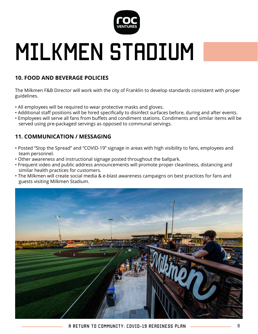

### **10. FOOD AND BEVERAGE POLICIES**

The Milkmen F&B Director will work with the city of Franklin to develop standards consistent with proper guidelines.

- All employees will be required to wear protective masks and gloves.
- Additional staff positions will be hired specifically to disinfect surfaces before, during and after events.
- Employees will serve all fans from buffets and condiment stations. Condiments and similar items will be served using pre-packaged servings as opposed to communal servings.

### **11. COMMUNICATION / MESSAGING**

- Posted "Stop the Spread" and "COVID-19" signage in areas with high visibility to fans, employees and team personnel.
- Other awareness and instructional signage posted throughout the ballpark.
- Frequent video and public address announcements will promote proper cleanliness, distancing and similar health practices for customers.
- The Milkmen will create social media & e-blast awareness campaigns on best practices for fans and guests visiting Milkmen Stadium.

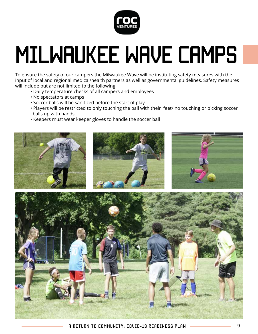

# MILWAUKEE WAVE CAMPS

To ensure the safety of our campers the Milwaukee Wave will be instituting safety measures with the input of local and regional medical/health partners as well as governmental guidelines. Safety measures will include but are not limited to the following:

- Daily temperature checks of all campers and employees
- No spectators at camps
- Soccer balls will be sanitized before the start of play
- Players will be restricted to only touching the ball with their feet/ no touching or picking soccer balls up with hands
- Keepers must wear keeper gloves to handle the soccer ball

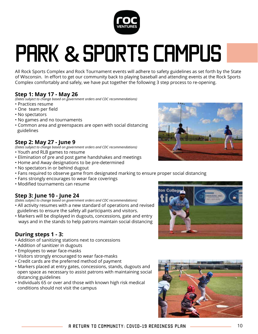

# Park **&**Sports campus

All Rock Sports Complex and Rock Tournament events will adhere to safety guidelines as set forth by the State of Wisconsin. In effort to get our community back to playing baseball and attending events at the Rock Sports Complex comfortably and safely, we have put together the following 3 step process to re-opening.

### **Step 1: May 17 - May 26**

*(Dates subject to change based on government orders and CDC recommendations)*

- Practices resume
- One team per field
- No spectators
- No games and no tournaments
- Common area and greenspaces are open with social distancing guidelines

### **Step 2: May 27 - June 9**

*(Dates subject to change based on government orders and CDC recommendations)*

- Youth and RLB games to resume
- Elimination of pre and post game handshakes and meetings
- Home and Away designations to be pre-determined
- No spectators in or behind dugout
- Fans required to observe game from designated marking to ensure proper social distancing
- Fans strongly encourages to wear face coverings
- Modified tournaments can resume

### **Step 3: June 10 - June 24**

*(Dates subject to change based on government orders and CDC recommendations)*

- All activity resumes with a new standard of operations and revised guidelines to ensure the safety all participants and visitors.
- Markers will be displayed in dugouts, concessions, gate and entry ways and in the stands to help patrons maintain social distancing

### **During steps 1 - 3:**

- Addition of sanitizing stations next to concessions
- Addition of sanitizer in dugouts
- Employees to wear face-masks
- Visitors strongly encouraged to wear face-masks
- Credit cards are the preferred method of payment
- Markers placed at entry gates, concessions, stands, dugouts and open space as necessary to assist patrons with maintaining social distancing guidelines
- Individuals 65 or over and those with known high risk medical conditions should not visit the campus





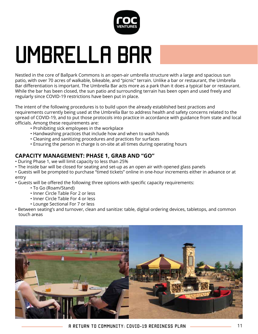

# Umbrella Bar

Nestled in the core of Ballpark Commons is an open-air umbrella structure with a large and spacious sun patio, with over 70 acres of walkable, bikeable, and "picnic" terrain. Unlike a bar or restaurant, the Umbrella Bar differentiation is important. The Umbrella Bar acts more as a park than it does a typical bar or restaurant. While the bar has been closed, the sun patio and surrounding terrain has been open and used freely and regularly since COVID-19 restrictions have been put in place.

The intent of the following procedures is to build upon the already established best practices and requirements currently being used at the Umbrella Bar to address health and safety concerns related to the spread of COVID-19, and to put those protocols into practice in accordance with guidance from state and local officials. Among these requirements are:

- Prohibiting sick employees in the workplace
- Handwashing practices that include how and when to wash hands
- Cleaning and sanitizing procedures and practices for surfaces
- Ensuring the person in charge is on-site at all times during operating hours

### **CAPACITY MANAGEMENT: PHASE 1, GRAB AND "GO"**

- During Phase 1, we will limit capacity to less than 25%
- The inside bar will be closed for seating and set-up as an open air with opened glass panels
- Guests will be prompted to purchase "timed tickets" online in one-hour increments either in advance or at entry

• Guests will be offered the following three options with specific capacity requirements:

- To Go (Roam/Stand)
- Inner Circle Table For 2 or less
- Inner Circle Table For 4 or less
- Lounge Sectional For 7 or less
- Between seating's and turnover, clean and sanitize: table, digital ordering devices, tabletops, and common touch areas

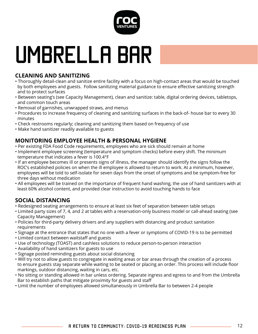

# Umbrella Bar

### **CLEANING AND SANITIZING**

- Thoroughly detail-clean and sanitize entire facility with a focus on high-contact areas that would be touched by both employees and guests. Follow sanitizing material guidance to ensure effective sanitizing strength and to protect surfaces
- Between seating's (see Capacity Management), clean and sanitize: table, digital ordering devices, tabletops, and common touch areas
- Removal of garnishes, unwrapped straws, and menus
- Procedures to increase frequency of cleaning and sanitizing surfaces in the back-of- house bar to every 30 minutes
- Check restrooms regularly; cleaning and sanitizing them based on frequency of use
- Make hand sanitizer readily available to guests

### **MONITORING EMPLOYEE HEALTH & PERSONAL HYGIENE**

- Per existing FDA Food Code requirements, employees who are sick should remain at home
- Implement employee screening (temperature and symptom checks) before every shift. The minimum temperature that indicates a fever is 100.4°F
- If an employee becomes ill or presents signs of illness, the manager should identify the signs follow the ROC's established policies on when the ill employee is allowed to return to work. At a minimum, however, employees will be told to self-isolate for seven days from the onset of symptoms and be symptom-free for three days without medication
- All employees will be trained on the importance of frequent hand washing, the use of hand sanitizers with at least 60% alcohol content, and provided clear instruction to avoid touching hands to face

### **SOCIAL DISTANCING**

- Redesigned seating arrangements to ensure at least six feet of separation between table setups
- Limited party sizes of 7, 4, and 2 at tables with a reservation-only business model or call-ahead seating (see Capacity Management)
- Policies for third-party delivery drivers and any suppliers with distancing and product sanitation requirements
- Signage at the entrance that states that no one with a fever or symptoms of COVID-19 is to be permitted
- Limited contact between waitstaff and guests
- Use of technology (TOAST) and cashless solutions to reduce person-to-person interaction
- Availability of hand sanitizers for guests to use
- Signage posted reminding guests about social distancing
- Will try not to allow guests to congregate in waiting areas or bar areas through the creation of a process to ensure guests stay separate while waiting to be seated or placing an order. This process will include floor markings, outdoor distancing, waiting in cars, etc.
- No sitting or standing allowed in bar unless ordering. Separate ingress and egress to and from the Umbrella Bar to establish paths that mitigate proximity for guests and staff
- Limit the number of employees allowed simultaneously in Umbrella Bar to between 2-4 people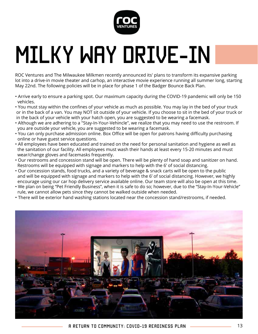

# MILKY WAY DRIVE-IN

ROC Ventures and The Milwaukee Milkmen recently announced its' plans to transform its expansive parking lot into a drive-in movie theater and carhop, an interactive movie experience running all summer long, starting May 22nd. The following policies will be in place for phase 1 of the Badger Bounce Back Plan.

- Arrive early to ensure a parking spot. Our maximum capacity during the COVID-19 pandemic will only be 150 vehicles.
- You must stay within the confines of your vehicle as much as possible. You may lay in the bed of your truck or in the back of a van. You may NOT sit outside of your vehicle. If you choose to sit in the bed of your truck or in the back of your vehicle with your hatch open, you are suggested to be wearing a facemask.
- Although we are adhering to a "Stay-In-Your-Vehincle", we realize that you may need to use the restroom. If you are outside your vehicle, you are suggested to be wearing a facemask.
- You can only purchase admission online. Box Office will be open for patrons having difficulty purchasing online or have guest service questions.
- All employees have been educated and trained on the need for personal sanitation and hygiene as well as the sanitation of our facility. All employees must wash their hands at least every 15-20 minutes and must wear/change gloves and facemasks frequently.
- Our restrooms and concession stand will be open. There will be plenty of hand soap and sanitizer on hand. Restrooms will be equipped with signage and markers to help with the 6' of social distancing.
- Our concession stands, food trucks, and a variety of beverage & snack carts will be open to the public and will be equipped with signage and markers to help with the 6' of social distancing. However, we highly encourage using our car hop delivery service available online. Our team store will also be open at this time.
- We plan on being "Pet Friendly Business", when it is safe to do so; however, due to the "Stay-In-Your-Vehicle" rule, we cannot allow pets since they cannot be walked outside when needed.
- There will be exterior hand washing stations located near the concession stand/restrooms, if needed.